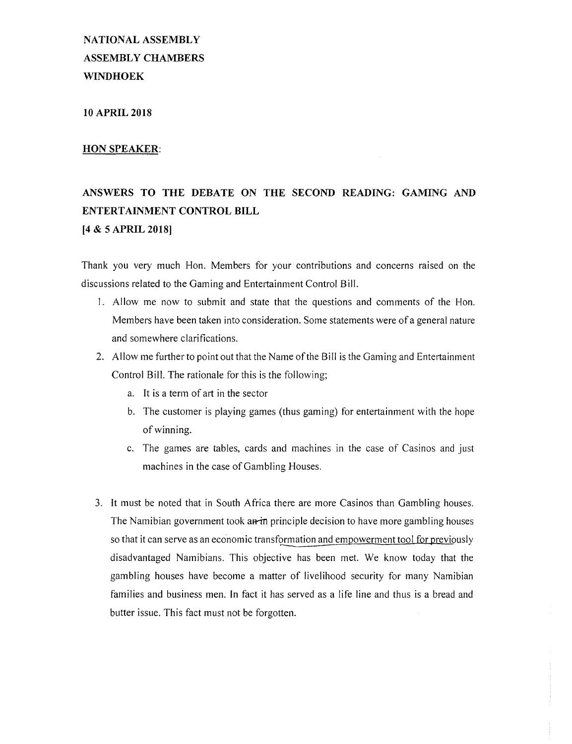**NATIONAL ASSEMBLY ASSEMBLY CHAMBERS WINDHOEK**

**10 APRIL 2018**

# **HON SPEAKER:**

# **ANSWERS TO THE DEBATE ON THE SECOND READING: GAMING AND ENTERTAINMENT CONTROL BILL [4** & 5 **APRIL 2018]**

Thank you very much Hon. Members for your contributions and concerns raised on the discussions related to the Gaming and Entertainment Control Bill.

- I. Allow me now to submit and state that the questions and comments of the Hon. Members have been taken into consideration. Some statements were of a general nature and somewhere clarifications.
- 2. Allow me further to point out that the Name of the Bill is the Gaming and Entertainment Control Bill. The rationale for this is the following;
	- a. It is a term of art in the sector
	- b. The customer is playing games (thus gaming) for entertainment with the hope of winning.
	- c. The games are tables, cards and machines in the case of Casinos and just machines in the case of Gambling Houses.
- 3. It must be noted that in South Africa there are more Casinos than Gambling houses. The Namibian government took an-in principle decision to have more gambling houses so that it can serve as an economic transformation and empowerment tool for previously disadvantaged Namibians. This objective has been met. We know today that the gambling houses have become a matter of livelihood security for many Namibian families and business men. In fact it has served as a life line and thus is a bread and butter issue. This fact must not be forgotten.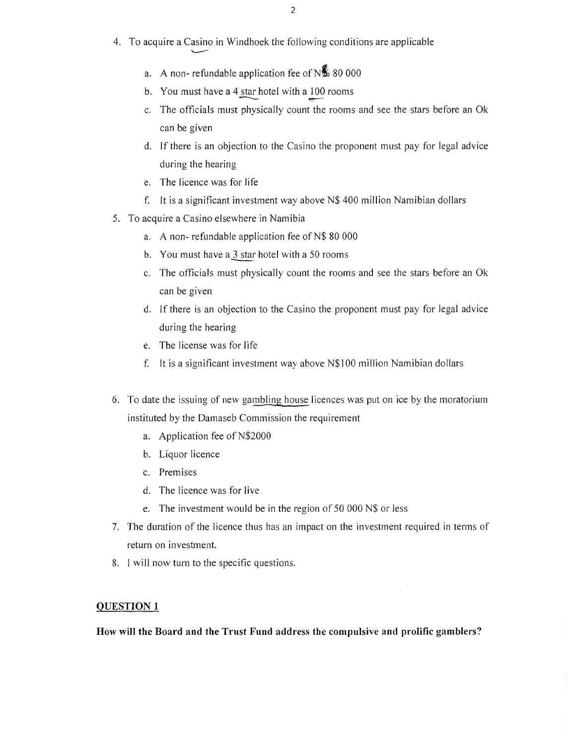- 2
- 4. To acquire a Casino in Windhoek the following conditions are applicable
	- a. A non-refundable application fee of  $N\%$  80 000
	- b. You must have a  $4 \times 4$  hotel with a 100 rooms
	- c. The officials must physically count the rooms and see the stars before an Ok can be given
	- d. If there is an objection to the Casino the proponent must pay for legal advice during the hearing
	- e. The licence was for life

-......--

- f. It is a significant investment way above N\$ 400 million Namibian dollars
- 5. To acquire a Casino elsewhere in Namibia
	- a. A non- refundable application fee of N\$ 80 00<br>b. You must have a  $\underline{3}$  star hotel with a 50 rooms<br>c. The officials must physically count the rooms
	- b. You must have a 3 star hotel with a 50 rooms
	- c. The officials must physically count the rooms and see the stars before an Ok can be given
	- d. If there is an objection to the Casino the proponent must pay for legal advice during the hearing
	- e. The license was for life
	- f. It is a significant investment way above N\$I 00 million Namibian dollars
- 6. To date the issuing of new gambling house Iicences was put on ice by the moratorium instituted by the Damaseb Commission the requirement
	- a. Application fee of N\$2000
	- b. Liquor licence
	- c. Premises
	- d. The licence was for live
	- e. The investment would be in the region of 50 000 N\$ or less
- 7. The duration of the licence thus has an impact on the investment required in terms of return on investment.
- 8. I will now turn to the specific questions.

#### **QUESTION 1**

**How will the Board and the Trust Fund address the compulsive and** prolific **gamblers?**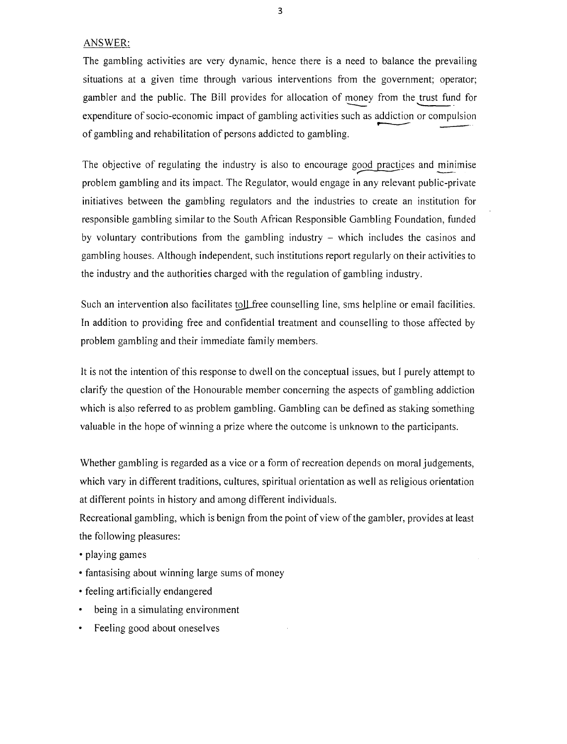ANSWER:

The gambling activities are very dynamic, hence there is a need to balance the prevailing situations at a given time through various interventions from the government; operator; gambler and the public. The Bill provides for allocation of money from the trust fund for expenditure of socio-economic impact of gambling activities such as addiction or compulsion<br>of gambling and rehabilitation of persons addicted to gambling.

The objective of regulating the industry is also to encourage good practices and minimise problem gambling and its impact. The Regulator, would engage in any relevant public-private initiatives between the gambling regulators and the industries to create an institution for responsible gambling similar to the South African Responsible Gambling Foundation, funded by voluntary contributions from the gambling industry  $-$  which includes the casinos and gambling houses. Although independent, such institutions report regularly on their activities to the industry and the authorities charged with the regulation of gambling industry.

Such an intervention also facilitates toll free counselling line, sms helpline or email facilities. **In** addition to providing free and confidential treatment and counselling to those affected by problem gambling and their immediate family members.

It is not the intention of this response to dwell on the conceptual issues, but I purely attempt to clarify the question of the Honourable member concerning the aspects of gambling addiction which is also referred to as problem gambling. Gambling can be defined as staking something valuable in the hope of winning a prize where the outcome is unknown to the participants.

Whether gambling is regarded as a vice or a form of recreation depends on moral judgements, which vary in different traditions, cultures, spiritual orientation as well as religious orientation at different points **in** history and among different individuals.

Recreational gambling, which is benign from the point of view of the gambler, provides at least the following pleasures:

- playing games
- fantasising about winning large sums of money
- feeling artificially endangered
- being in a simulating environment
- Feeling good about oneselves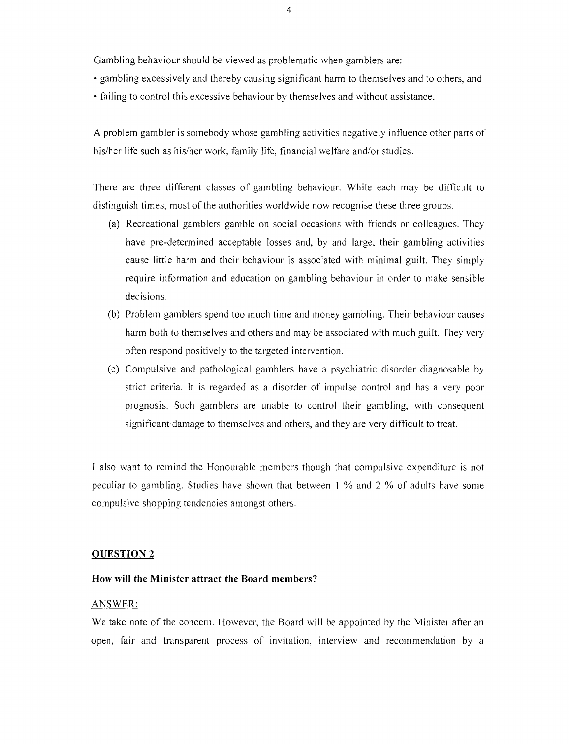Gambling behaviour should be viewed as problematic when gamblers are:

- gambling excessively and thereby causing significant harm to themselves and to others, and
- failing to control this excessive behaviour by themselves and without assistance.

A problem gambler is somebody whose gambling activities negatively influence other parts of his/her life such as his/her work, family life, financial welfare and/or studies.

There are three different classes of gambling behaviour. While each may be difficult to distinguish times, most of the authorities worldwide now recognise these three groups.

- (a) Recreational gamblers gamble on social occasions with friends or colleagues. They have pre-determined acceptable losses and, by and large, their gambling activities cause little harm and their behaviour is associated with minimal guilt. They simply require information and education on gambling behaviour in order to make sensible decisions.
- (b) Problem gamblers spend too much time and money gambling. Their behaviour causes harm both to themselves and others and may be associated with much guilt. They very often respond positively to the targeted intervention.
- (c) Compulsive and pathological gamblers have a psychiatric disorder diagnosable by strict criteria. It is regarded as a disorder of impulse control and has a very poor prognosis. Such gamblers are unable to control their gambling, with consequent significant damage to themselves and others, and they are very difficult to treat.

I also want to remind the Honourable members though that compulsive expenditure is not peculiar to gambling. Studies have shown that between I % and 2 % of adults have some compulsive shopping tendencies amongst others.

#### **QUESTION 2**

#### **How will the Minister attract the Board members?**

#### ANSWER:

We take note of the concern. However, the Board will be appointed by the Minister after an open, fair and transparent process of invitation, interview and recommendation by a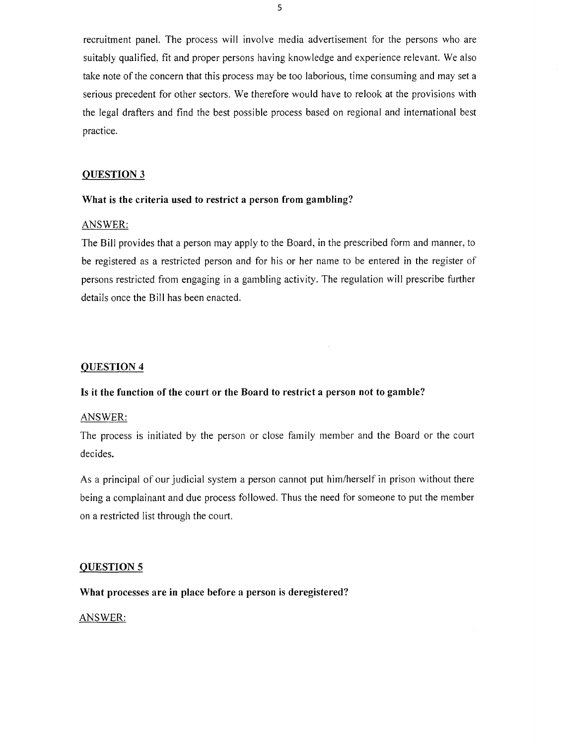recruitment panel. The process will involve media advertisement for the persons who are suitably qualified, fit and proper persons having knowledge and experience relevant. We also take note of the concern that this process may be too laborious, time consuming and may set a serious precedent for other sectors. We therefore would have to relook at the provisions with the legal drafters and find the best possible process based on regional and international best practice.

# QUESTION 3

### What is the criteria used to restrict a person from gambling?

# ANSWER:

The Bill provides that a person may apply to the Board, in the prescribed form and manner, to be registered as a restricted person and for his or her name to be entered in the register of persons restricted from engaging in a gambling activity. The regulation will prescribe further details once the Bill has been enacted.

# QUESTION 4

# Is it the function of the court or the Board to restrict a person not to gamble?

#### ANSWER:

The process is initiated by the person or close family member and the Board or the court decides.

As a principal of our judicial system a person cannot put him/herself in prison without there being a complainant and due process followed. Thus the need for someone to put the member on a restricted list through the court.

#### QUESTION 5

# What processes are in place before a person is deregistered?

#### ANSWER: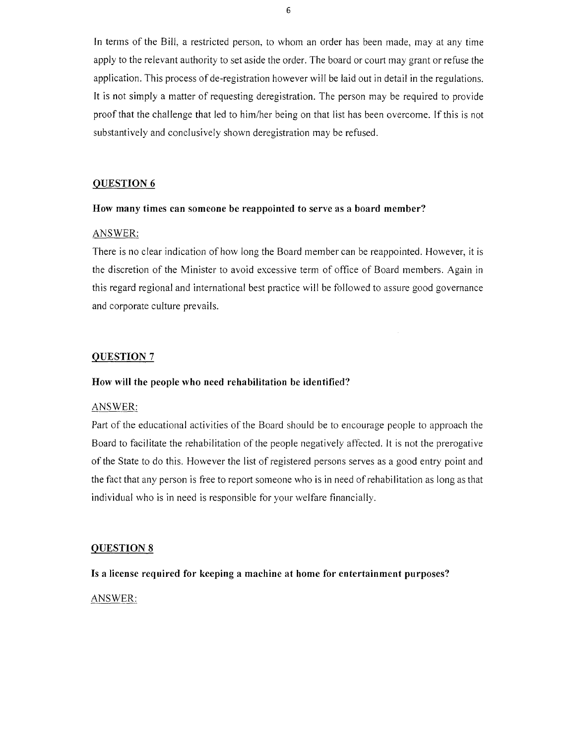In terms of the Bill, a restricted person, to whom an order has been made, may at any time apply to the relevant authority to set aside the order. The board or court may grant or refuse the application. This process of de-registration however will be laid out in detail in the regulations. It is not simply a matter of requesting deregistration. The person may be required to provide proof that the challenge that led to him/her being on that list has been overcome. If this is not substantively and conclusively shown deregistration may be refused.

# QUESTION 6

#### How many times can someone be reappointed to serve as a board member?

#### ANSWER:

There is no clear indication of how long the Board member can be reappointed. However, it is the discretion of the Minister to avoid excessive term of office of Board members. Again in this regard regional and international best practice will be followed to assure good governance and corporate culture prevails.

# QUESTION 7

#### How will the people who need rehabilitation be identified?

## ANSWER:

Part of the educational activities of the Board should be to encourage people to approach the Board to facilitate the rehabilitation of the people negatively affected. It is not the prerogative of the State to do this. However the Iist of registered persons serves as a good entry point and the fact that any person is free to report someone who is in need ofrehabilitation as long as that individual who is in need is responsible for your welfare financially.

# QUESTION 8

Is a license required for keeping a machine at home for entertainment purposes?

ANSWER: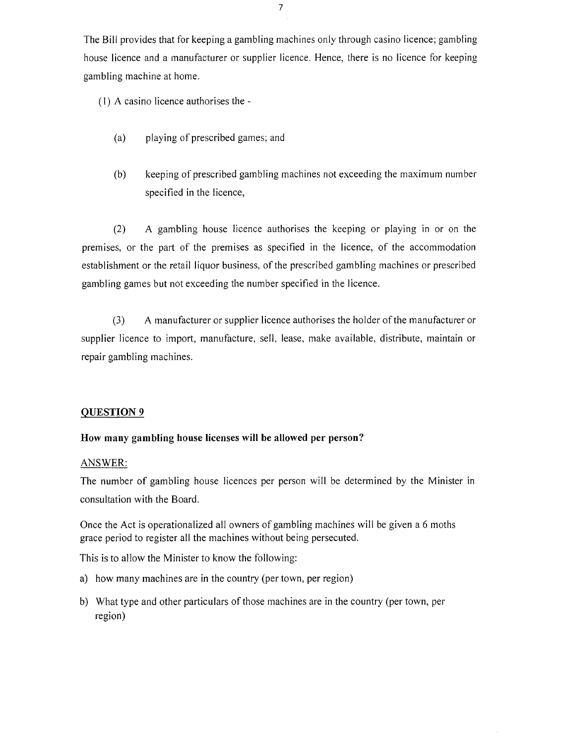7

The Bill provides that for keeping a gambling machines only through casino licence; gambling house licence and a manufacturer or supplier licence. Hence, there is no licence for keeping gambling machine at home.

(1) A casino licence authorises the -

- (a) playing of prescribed games; and
- (b) keeping of prescribed gambling machines not exceeding the maximum number specified in the licence,

(2) A gambling house licence authorises the keeping or playing in or on the premises, or the part of the premises as specified in the licence, of the accommodation establishment or the retail liquor business, of the prescribed gambling machines or prescribed gambling games but not exceeding the number specified in the licence.

(3) A manufacturer or supplier licence authorises the holder of the manufacturer or supplier licence to import, manufacture, sell, lease, make available, distribute, maintain or repair gambling machines.

# **QUESTION 9**

# **How many gambling house licenses will be allowed per person?**

#### ANSWER:

The number of gambling house licences per person will be determined by the Minister in consultation with the Board.

Once the Act is operationalized all owners of gambling machines will be given a 6 moths grace period to register all the machines without being persecuted.

This is to allow the Minister to know the following:

- a) how many machines are in the country (per town, per region)
- b) What type and other particulars of those machines are in the country (per town, per region)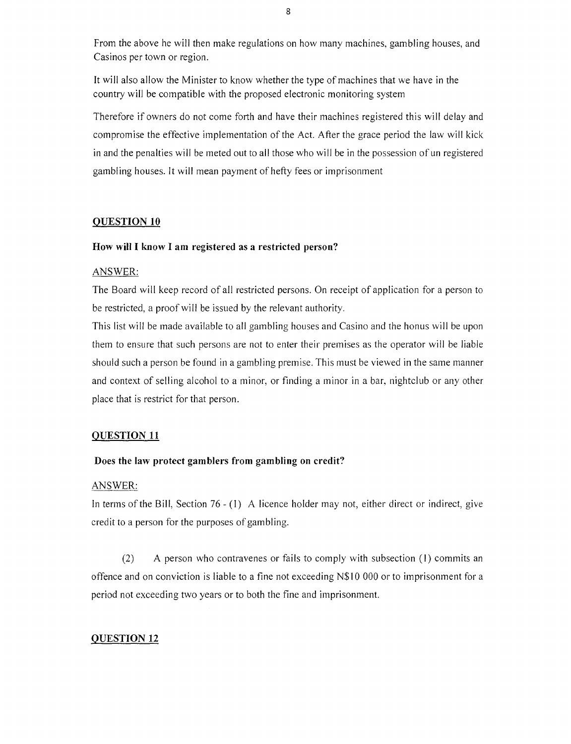From the above he will then make regulations on how many machines, gambling houses, and Casinos per town or region.

It will also allow the Minister to know whether the type of machines that we have in the country will be compatible with the proposed electronic monitoring system

Therefore if owners do not come forth and have their machines registered this will delay and compromise the effective implementation of the Act. After the grace period the law will kick in and the penalties will be meted out to all those who will be in the possession of un registered gambling houses. It will mean payment of hefty fees or imprisonment

# QUESTION 10

# How will I know I am registered as a restricted person?

## ANSWER:

The Board will keep record of all restricted persons. On receipt of application for a person to be restricted, a proof will be issued by the relevant authority.

This list will be made available to all gambling houses and Casino and the honus will be upon them to ensure that such persons are not to enter their premises as the operator will be liable should such a person be found in a gambling premise. This must be viewed in the same manner and context of selling alcohol to a minor, or finding a minor in a bar, nightclub or any other place that is restrict for that person.

# QUESTION 11

# Does the law protect gamblers from gambling on credit?

# ANSWER:

In terms of the Bill, Section 76 - (1) A licence holder may not, either direct or indirect, give credit to a person for the purposes of gambling.

(2) A person who contravenes or fails to comply with subsection (I) commits an offence and on conviction is liable to a fine not exceeding N\$I 0000 or to imprisonment for a period not exceeding two years or to both the fine and imprisonment.

# QUESTION 12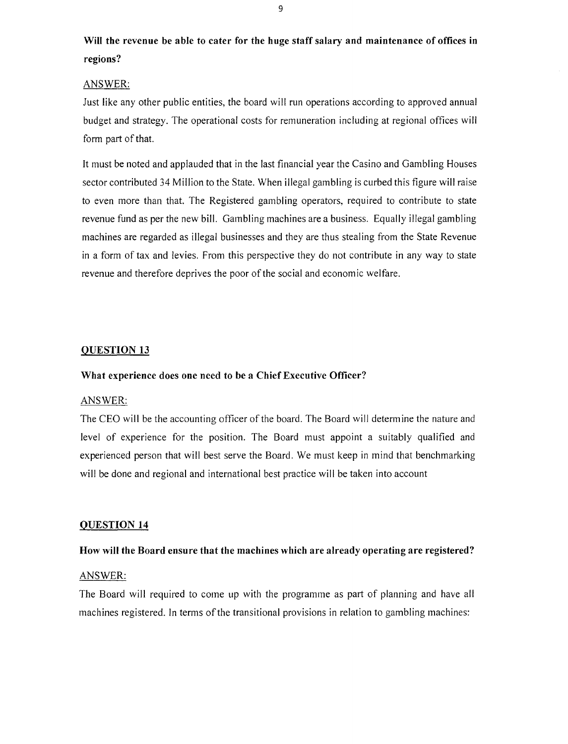Will the revenue be able to cater for the huge staff salary and maintenance of offices in regions?

#### ANSWER:

Just like any other public entities, the board will run operations according to approved annual budget and strategy. The operational costs for remuneration including at regional offices will form part of that.

It must be noted and applauded that in the last financial year the Casino and Gambling Houses sector contributed 34 Million to the State. When illegal gambling is curbed this figure will raise to even more than that. The Registered gambling operators, required to contribute to state revenue fund as per the new bill. Gambling machines are a business. Equally illegal gambling machines are regarded as illegal businesses and they are thus stealing from the State Revenue in a form of tax and levies. From this perspective they do not contribute in any way to state revenue and therefore deprives the poor of the social and economic welfare.

# QUESTION 13

#### What experience does one need to be a Chief Executive Officer?

#### ANSWER:

The CEO will be the accounting officer of the board. The Board will determine the nature and level of experience for the position. The Board must appoint a suitably qualified and experienced person that will best serve the Board. We must keep in mind that benchmarking will be done and regional and international best practice will be taken into account

#### QUESTION 14

#### How will the Board ensure that the machines which are already operating are registered?

# ANSWER:

The Board will required to come up with the programme as part of planning and have all machines registered. In terms of the transitional provisions in relation to gambling machines: